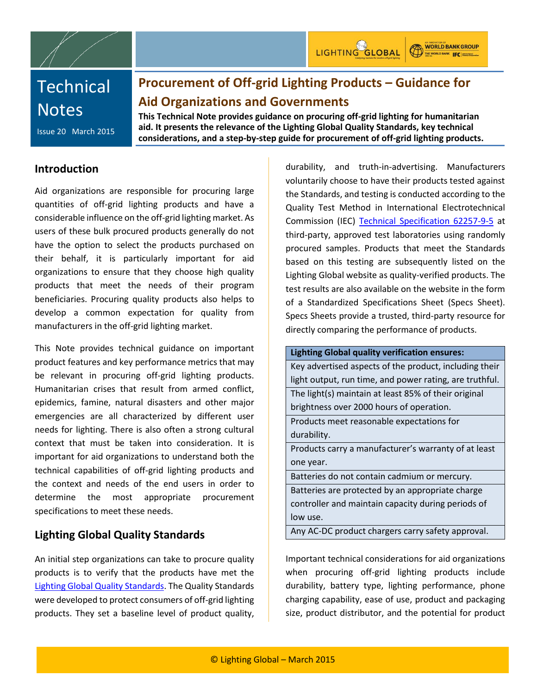

**WORLD BANK GROUP** THE WORLD BANK **IFC** | Hamalong

# **Procurement of Off-grid Lighting Products – Guidance for Aid Organizations and Governments**

Issue 20 March 2015

**This Technical Note provides guidance on procuring off-grid lighting for humanitarian aid. It presents the relevance of the Lighting Global Quality Standards, key technical considerations, and a step-by-step guide for procurement of off-grid lighting products.**

### **Introduction**

Aid organizations are responsible for procuring large quantities of off-grid lighting products and have a considerable influence on the off-grid lighting market. As users of these bulk procured products generally do not have the option to select the products purchased on their behalf, it is particularly important for aid organizations to ensure that they choose high quality products that meet the needs of their program beneficiaries. Procuring quality products also helps to develop a common expectation for quality from manufacturers in the off-grid lighting market.

This Note provides technical guidance on important product features and key performance metrics that may be relevant in procuring off-grid lighting products. Humanitarian crises that result from armed conflict, epidemics, famine, natural disasters and other major emergencies are all characterized by different user needs for lighting. There is also often a strong cultural context that must be taken into consideration. It is important for aid organizations to understand both the technical capabilities of off-grid lighting products and the context and needs of the end users in order to determine the most appropriate procurement specifications to meet these needs.

## **Lighting Global Quality Standards**

An initial step organizations can take to procure quality products is to verify that the products have met the [Lighting Global Quality Standards.](https://www.lightingglobal.org/resources/quality-standards/) The Quality Standards were developed to protect consumers of off-grid lighting products. They set a baseline level of product quality,

durability, and truth-in-advertising. Manufacturers voluntarily choose to have their products tested against the Standards, and testing is conducted according to the Quality Test Method in International Electrotechnical Commission (IEC) [Technical Specification 62257-9-5](http://webstore.iec.ch/Webstore/webstore.nsf/ArtNum_PK/47681!opendocument) at third-party, approved test laboratories using randomly procured samples. Products that meet the Standards based on this testing are subsequently listed on the Lighting Global website as quality-verified products. The test results are also available on the website in the form of a Standardized Specifications Sheet (Specs Sheet). Specs Sheets provide a trusted, third-party resource for directly comparing the performance of products.

**Lighting Global quality verification ensures:** Key advertised aspects of the product, including their light output, run time, and power rating, are truthful. The light(s) maintain at least 85% of their original brightness over 2000 hours of operation. Products meet reasonable expectations for

durability.

Products carry a manufacturer's warranty of at least one year.

Batteries do not contain cadmium or mercury.

Batteries are protected by an appropriate charge controller and maintain capacity during periods of low use.

Any AC-DC product chargers carry safety approval.

Important technical considerations for aid organizations when procuring off-grid lighting products include durability, battery type, lighting performance, phone charging capability, ease of use, product and packaging size, product distributor, and the potential for product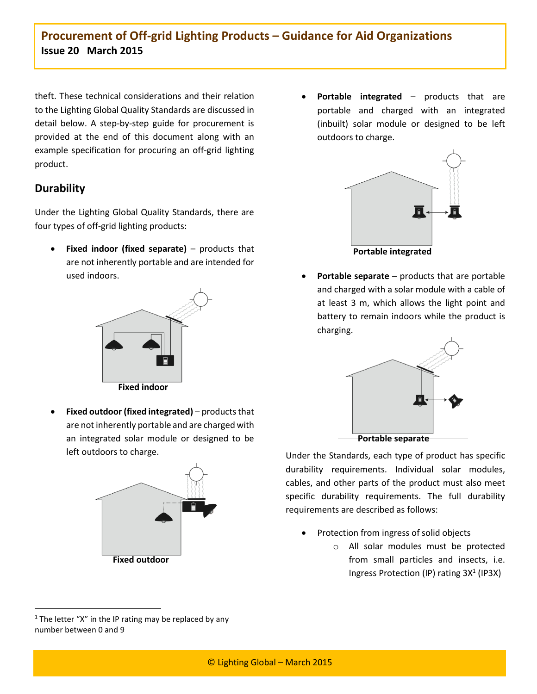theft. These technical considerations and their relation to the Lighting Global Quality Standards are discussed in detail below. A step-by-step guide for procurement is provided at the end of this document along with an example specification for procuring an off-grid lighting product.

## **Durability**

Under the Lighting Global Quality Standards, there are four types of off-grid lighting products:

 **Fixed indoor (fixed separate)** – products that are not inherently portable and are intended for used indoors.



 **Fixed outdoor (fixed integrated)** – products that are not inherently portable and are charged with an integrated solar module or designed to be left outdoors to charge.



 **Portable integrated** – products that are portable and charged with an integrated (inbuilt) solar module or designed to be left outdoors to charge.



 **Portable separate** – products that are portable and charged with a solar module with a cable of at least 3 m, which allows the light point and battery to remain indoors while the product is charging.



Under the Standards, each type of product has specific durability requirements. Individual solar modules, cables, and other parts of the product must also meet specific durability requirements. The full durability requirements are described as follows:

- Protection from ingress of solid objects
	- o All solar modules must be protected from small particles and insects, i.e. Ingress Protection (IP) rating 3X<sup>1</sup> (IP3X)

 $\ddot{\phantom{a}}$ 

 $1$  The letter "X" in the IP rating may be replaced by any number between 0 and 9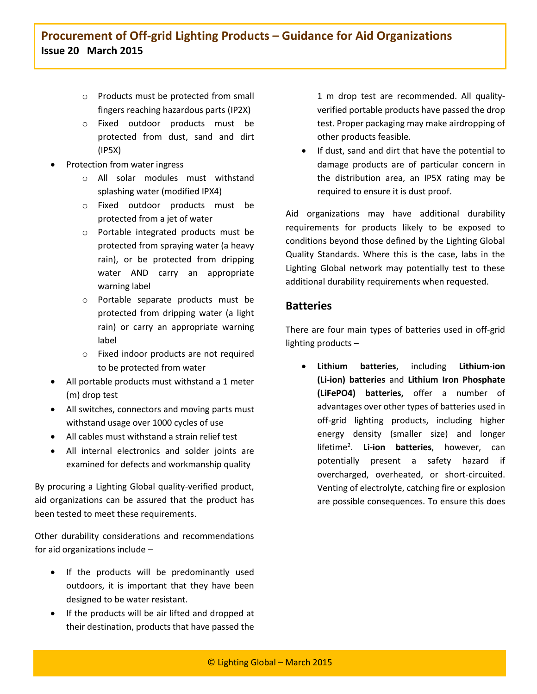- o Products must be protected from small fingers reaching hazardous parts (IP2X)
- o Fixed outdoor products must be protected from dust, sand and dirt (IP5X)
- Protection from water ingress
	- o All solar modules must withstand splashing water (modified IPX4)
	- o Fixed outdoor products must be protected from a jet of water
	- o Portable integrated products must be protected from spraying water (a heavy rain), or be protected from dripping water AND carry an appropriate warning label
	- o Portable separate products must be protected from dripping water (a light rain) or carry an appropriate warning label
	- o Fixed indoor products are not required to be protected from water
- All portable products must withstand a 1 meter (m) drop test
- All switches, connectors and moving parts must withstand usage over 1000 cycles of use
- All cables must withstand a strain relief test
- All internal electronics and solder joints are examined for defects and workmanship quality

By procuring a Lighting Global quality-verified product, aid organizations can be assured that the product has been tested to meet these requirements.

Other durability considerations and recommendations for aid organizations include –

- If the products will be predominantly used outdoors, it is important that they have been designed to be water resistant.
- If the products will be air lifted and dropped at their destination, products that have passed the

1 m drop test are recommended. All qualityverified portable products have passed the drop test. Proper packaging may make airdropping of other products feasible.

 If dust, sand and dirt that have the potential to damage products are of particular concern in the distribution area, an IP5X rating may be required to ensure it is dust proof.

Aid organizations may have additional durability requirements for products likely to be exposed to conditions beyond those defined by the Lighting Global Quality Standards. Where this is the case, labs in the Lighting Global network may potentially test to these additional durability requirements when requested.

## **Batteries**

There are four main types of batteries used in off-grid lighting products –

 **Lithium batteries**, including **Lithium-ion (Li-ion) batteries** and **Lithium Iron Phosphate (LiFePO4) batteries,** offer a number of advantages over other types of batteries used in off-grid lighting products, including higher energy density (smaller size) and longer lifetime<sup>2</sup> . **Li-ion batteries**, however, can potentially present a safety hazard if overcharged, overheated, or short-circuited. Venting of electrolyte, catching fire or explosion are possible consequences. To ensure this does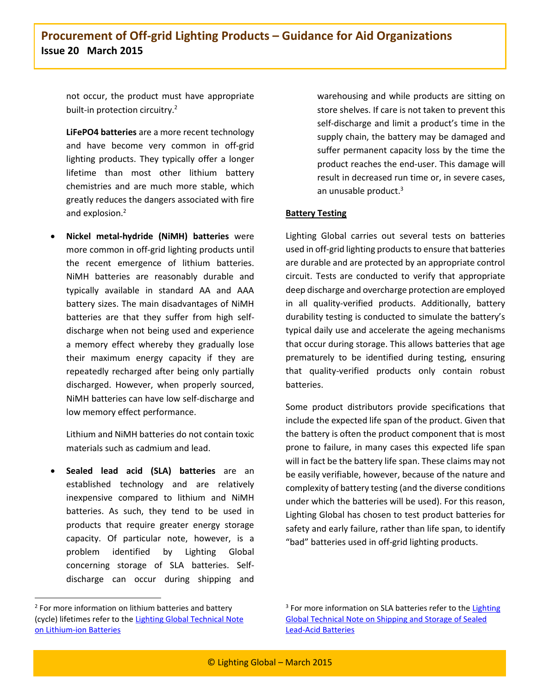not occur, the product must have appropriate built-in protection circuitry.<sup>2</sup>

**LiFePO4 batteries** are a more recent technology and have become very common in off-grid lighting products. They typically offer a longer lifetime than most other lithium battery chemistries and are much more stable, which greatly reduces the dangers associated with fire and explosion.<sup>2</sup>

 **Nickel metal-hydride (NiMH) batteries** were more common in off-grid lighting products until the recent emergence of lithium batteries. NiMH batteries are reasonably durable and typically available in standard AA and AAA battery sizes. The main disadvantages of NiMH batteries are that they suffer from high selfdischarge when not being used and experience a memory effect whereby they gradually lose their maximum energy capacity if they are repeatedly recharged after being only partially discharged. However, when properly sourced, NiMH batteries can have low self-discharge and low memory effect performance.

Lithium and NiMH batteries do not contain toxic materials such as cadmium and lead.

 **Sealed lead acid (SLA) batteries** are an established technology and are relatively inexpensive compared to lithium and NiMH batteries. As such, they tend to be used in products that require greater energy storage capacity. Of particular note, however, is a problem identified by Lighting Global concerning storage of SLA batteries. Selfdischarge can occur during shipping and

 $\overline{a}$ 

warehousing and while products are sitting on store shelves. If care is not taken to prevent this self-discharge and limit a product's time in the supply chain, the battery may be damaged and suffer permanent capacity loss by the time the product reaches the end-user. This damage will result in decreased run time or, in severe cases, an unusable product.<sup>3</sup>

#### **Battery Testing**

Lighting Global carries out several tests on batteries used in off-grid lighting products to ensure that batteries are durable and are protected by an appropriate control circuit. Tests are conducted to verify that appropriate deep discharge and overcharge protection are employed in all quality-verified products. Additionally, battery durability testing is conducted to simulate the battery's typical daily use and accelerate the ageing mechanisms that occur during storage. This allows batteries that age prematurely to be identified during testing, ensuring that quality-verified products only contain robust batteries.

Some product distributors provide specifications that include the expected life span of the product. Given that the battery is often the product component that is most prone to failure, in many cases this expected life span will in fact be the battery life span. These claims may not be easily verifiable, however, because of the nature and complexity of battery testing (and the diverse conditions under which the batteries will be used). For this reason, Lighting Global has chosen to test product batteries for safety and early failure, rather than life span, to identify "bad" batteries used in off-grid lighting products.

<sup>&</sup>lt;sup>2</sup> For more information on lithium batteries and battery (cycle) lifetimes refer to th[e Lighting Global Technical Note](https://www.lightingglobal.org/wp-content/uploads/bsk-pdf-manager/67_Issue10_Lithium-ionBattery_TechNote_final.pdf)  [on Lithium-ion Batteries](https://www.lightingglobal.org/wp-content/uploads/bsk-pdf-manager/67_Issue10_Lithium-ionBattery_TechNote_final.pdf)

<sup>&</sup>lt;sup>3</sup> For more information on SLA batteries refer to the Lighting [Global Technical Note on Shipping and Storage of Sealed](https://www.lightingglobal.org/wp-content/uploads/bsk-pdf-manager/68_Issue9_SLA_BatteryStorage_TechNote_final.pdf)  [Lead-Acid Batteries](https://www.lightingglobal.org/wp-content/uploads/bsk-pdf-manager/68_Issue9_SLA_BatteryStorage_TechNote_final.pdf)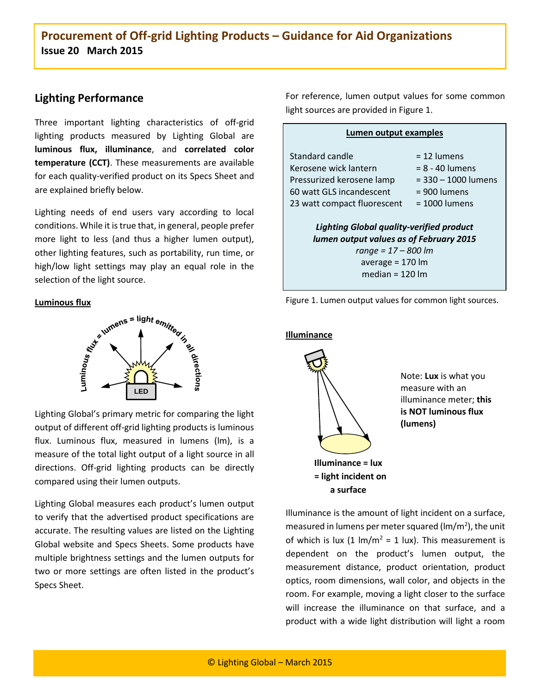## **Lighting Performance**

Three important lighting characteristics of off-grid lighting products measured by Lighting Global are **luminous flux, illuminance**, and **correlated color temperature (CCT)**. These measurements are available for each quality-verified product on its Specs Sheet and are explained briefly below.

Lighting needs of end users vary according to local conditions. While it is true that, in general, people prefer more light to less (and thus a higher lumen output), other lighting features, such as portability, run time, or high/low light settings may play an equal role in the selection of the light source.

#### **Luminous flux**



Lighting Global's primary metric for comparing the light output of different off-grid lighting products is luminous flux. Luminous flux, measured in lumens (lm), is a measure of the total light output of a light source in all directions. Off-grid lighting products can be directly compared using their lumen outputs.

Lighting Global measures each product's lumen output to verify that the advertised product specifications are accurate. The resulting values are listed on the Lighting Global website and Specs Sheets. Some products have multiple brightness settings and the lumen outputs for two or more settings are often listed in the product's Specs Sheet.

For reference, lumen output values for some common light sources are provided in Figure 1.

#### **Lumen output examples**

| Standard candle                                                                            | $= 12$ lumens           |  |
|--------------------------------------------------------------------------------------------|-------------------------|--|
| Kerosene wick lantern                                                                      | $= 8 - 40$ lumens       |  |
| Pressurized kerosene lamp                                                                  | $=$ 330 $-$ 1000 lumens |  |
| 60 watt GLS incandescent                                                                   | = 900 lumens            |  |
| 23 watt compact fluorescent                                                                | $= 1000$ lumens         |  |
| <b>Lighting Global quality-verified product</b><br>lumen output values as of February 2015 |                         |  |
| $range = 17 - 800$ lm                                                                      |                         |  |
| average = $170 \, \text{Im}$                                                               |                         |  |
| median = $120 \, \text{Im}$                                                                |                         |  |



**Illuminance**



Note: **Lux** is what you measure with an illuminance meter; **this is NOT luminous flux (lumens)**

Illuminance is the amount of light incident on a surface, measured in lumens per meter squared ( $lm/m<sup>2</sup>$ ), the unit of which is lux  $(1 \text{ Im/m}^2 = 1 \text{ lux})$ . This measurement is dependent on the product's lumen output, the measurement distance, product orientation, product optics, room dimensions, wall color, and objects in the room. For example, moving a light closer to the surface will increase the illuminance on that surface, and a product with a wide light distribution will light a room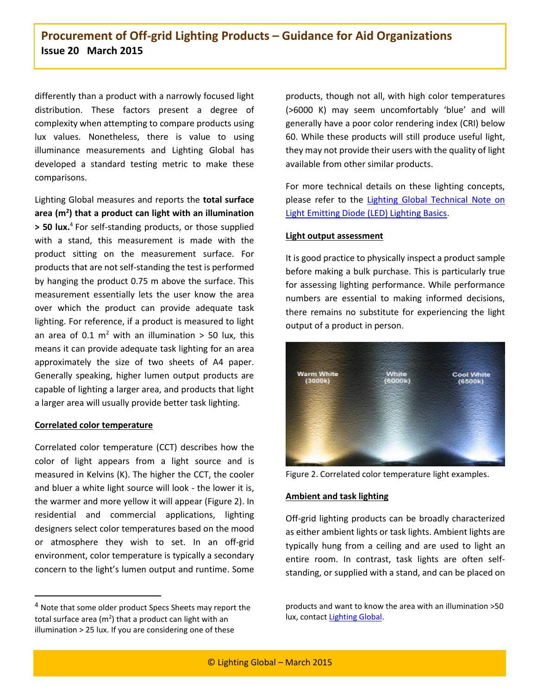differently than a product with a narrowly focused light distribution. These factors present a degree of complexity when attempting to compare products using lux values. Nonetheless, there is value to using illuminance measurements and Lighting Global has developed a standard testing metric to make these comparisons.

Lighting Global measures and reports the **total surface area (m<sup>2</sup> ) that a product can light with an illumination > 50 lux.** 4 For self-standing products, or those supplied with a stand, this measurement is made with the product sitting on the measurement surface. For products that are not self-standing the test is performed by hanging the product 0.75 m above the surface. This measurement essentially lets the user know the area over which the product can provide adequate task lighting. For reference, if a product is measured to light an area of 0.1  $m^2$  with an illumination > 50 lux, this means it can provide adequate task lighting for an area approximately the size of two sheets of A4 paper. Generally speaking, higher lumen output products are capable of lighting a larger area, and products that light a larger area will usually provide better task lighting.

#### **Correlated color temperature**

 $\ddot{\phantom{a}}$ 

Correlated color temperature (CCT) describes how the color of light appears from a light source and is measured in Kelvins (K). The higher the CCT, the cooler and bluer a white light source will look - the lower it is, the warmer and more yellow it will appear (Figure 2). In residential and commercial applications, lighting designers select color temperatures based on the mood or atmosphere they wish to set. In an off-grid environment, color temperature is typically a secondary concern to the light's lumen output and runtime. Some products, though not all, with high color temperatures (>6000 K) may seem uncomfortably 'blue' and will generally have a poor color rendering index (CRI) below 60. While these products will still produce useful light, they may not provide their users with the quality of light available from other similar products.

For more technical details on these lighting concepts, please refer to the [Lighting Global Technical Note on](https://www.lightingglobal.org/wp-content/uploads/bsk-pdf-manager/77_issue0_LEDLightingBasics_TechNote_final.pdf)  [Light Emitting Diode \(LED\) Lighting Basics.](https://www.lightingglobal.org/wp-content/uploads/bsk-pdf-manager/77_issue0_LEDLightingBasics_TechNote_final.pdf)

#### **Light output assessment**

It is good practice to physically inspect a product sample before making a bulk purchase. This is particularly true for assessing lighting performance. While performance numbers are essential to making informed decisions, there remains no substitute for experiencing the light output of a product in person.



Figure 2. Correlated color temperature light examples.

#### **Ambient and task lighting**

Off-grid lighting products can be broadly characterized as either ambient lights or task lights. Ambient lights are typically hung from a ceiling and are used to light an entire room. In contrast, task lights are often selfstanding, or supplied with a stand, and can be placed on

<sup>&</sup>lt;sup>4</sup> Note that some older product Specs Sheets may report the total surface area ( $m^2$ ) that a product can light with an illumination > 25 lux. If you are considering one of these

products and want to know the area with an illumination >50 lux, contact [Lighting Global.](mailto:testing@lightingglobal.org)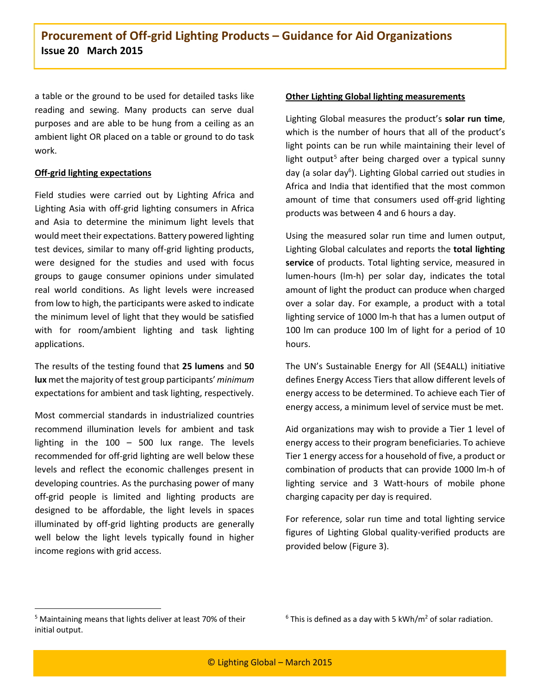a table or the ground to be used for detailed tasks like reading and sewing. Many products can serve dual purposes and are able to be hung from a ceiling as an ambient light OR placed on a table or ground to do task work.

#### **Off-grid lighting expectations**

Field studies were carried out by Lighting Africa and Lighting Asia with off-grid lighting consumers in Africa and Asia to determine the minimum light levels that would meet their expectations. Battery powered lighting test devices, similar to many off-grid lighting products, were designed for the studies and used with focus groups to gauge consumer opinions under simulated real world conditions. As light levels were increased from low to high, the participants were asked to indicate the minimum level of light that they would be satisfied with for room/ambient lighting and task lighting applications.

The results of the testing found that **25 lumens** and **50 lux** met the majority of test group participants' *minimum* expectations for ambient and task lighting, respectively.

Most commercial standards in industrialized countries recommend illumination levels for ambient and task lighting in the  $100 - 500$  lux range. The levels recommended for off-grid lighting are well below these levels and reflect the economic challenges present in developing countries. As the purchasing power of many off-grid people is limited and lighting products are designed to be affordable, the light levels in spaces illuminated by off-grid lighting products are generally well below the light levels typically found in higher income regions with grid access.

#### **Other Lighting Global lighting measurements**

Lighting Global measures the product's **solar run time**, which is the number of hours that all of the product's light points can be run while maintaining their level of light output<sup>5</sup> after being charged over a typical sunny day (a solar day<sup>6</sup>). Lighting Global carried out studies in Africa and India that identified that the most common amount of time that consumers used off-grid lighting products was between 4 and 6 hours a day.

Using the measured solar run time and lumen output, Lighting Global calculates and reports the **total lighting service** of products. Total lighting service, measured in lumen-hours (lm-h) per solar day, indicates the total amount of light the product can produce when charged over a solar day. For example, a product with a total lighting service of 1000 lm-h that has a lumen output of 100 lm can produce 100 lm of light for a period of 10 hours.

The UN's Sustainable Energy for All (SE4ALL) initiative defines Energy Access Tiers that allow different levels of energy access to be determined. To achieve each Tier of energy access, a minimum level of service must be met.

Aid organizations may wish to provide a Tier 1 level of energy access to their program beneficiaries. To achieve Tier 1 energy access for a household of five, a product or combination of products that can provide 1000 lm-h of lighting service and 3 Watt-hours of mobile phone charging capacity per day is required.

For reference, solar run time and total lighting service figures of Lighting Global quality-verified products are provided below (Figure 3).

 $\ddot{\phantom{a}}$ 

 $6$  This is defined as a day with 5 kWh/m<sup>2</sup> of solar radiation.

<sup>5</sup> Maintaining means that lights deliver at least 70% of their initial output.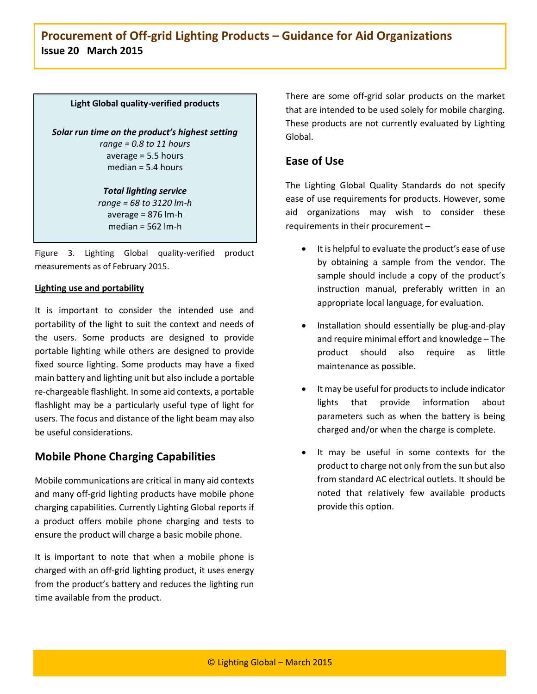#### **Light Global quality-verified products**

*Solar run time on the product's highest setting range = 0.8 to 11 hours* average = 5.5 hours median = 5.4 hours

#### *Total lighting service range = 68 to 3120 lm-h* average = 876 lm-h median = 562 lm-h

Figure 3. Lighting Global quality-verified product measurements as of February 2015.

#### **Lighting use and portability**

It is important to consider the intended use and portability of the light to suit the context and needs of the users. Some products are designed to provide portable lighting while others are designed to provide fixed source lighting. Some products may have a fixed main battery and lighting unit but also include a portable re-chargeable flashlight. In some aid contexts, a portable flashlight may be a particularly useful type of light for users. The focus and distance of the light beam may also be useful considerations.

### **Mobile Phone Charging Capabilities**

Mobile communications are critical in many aid contexts and many off-grid lighting products have mobile phone charging capabilities. Currently Lighting Global reports if a product offers mobile phone charging and tests to ensure the product will charge a basic mobile phone.

It is important to note that when a mobile phone is charged with an off-grid lighting product, it uses energy from the product's battery and reduces the lighting run time available from the product.

There are some off-grid solar products on the market that are intended to be used solely for mobile charging. These products are not currently evaluated by Lighting Global.

## **Ease of Use**

The Lighting Global Quality Standards do not specify ease of use requirements for products. However, some aid organizations may wish to consider these requirements in their procurement –

- It is helpful to evaluate the product's ease of use by obtaining a sample from the vendor. The sample should include a copy of the product's instruction manual, preferably written in an appropriate local language, for evaluation.
- Installation should essentially be plug-and-play and require minimal effort and knowledge – The product should also require as little maintenance as possible.
- It may be useful for products to include indicator lights that provide information about parameters such as when the battery is being charged and/or when the charge is complete.
- It may be useful in some contexts for the product to charge not only from the sun but also from standard AC electrical outlets. It should be noted that relatively few available products provide this option.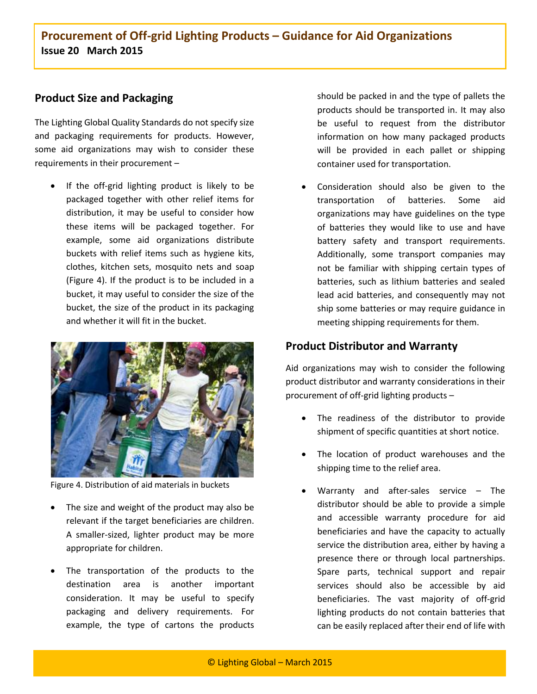## **Product Size and Packaging**

The Lighting Global Quality Standards do not specify size and packaging requirements for products. However, some aid organizations may wish to consider these requirements in their procurement –

• If the off-grid lighting product is likely to be packaged together with other relief items for distribution, it may be useful to consider how these items will be packaged together. For example, some aid organizations distribute buckets with relief items such as hygiene kits, clothes, kitchen sets, mosquito nets and soap (Figure 4). If the product is to be included in a bucket, it may useful to consider the size of the bucket, the size of the product in its packaging and whether it will fit in the bucket.



Figure 4. Distribution of aid materials in buckets

- The size and weight of the product may also be relevant if the target beneficiaries are children. A smaller-sized, lighter product may be more appropriate for children.
- The transportation of the products to the destination area is another important consideration. It may be useful to specify packaging and delivery requirements. For example, the type of cartons the products

should be packed in and the type of pallets the products should be transported in. It may also be useful to request from the distributor information on how many packaged products will be provided in each pallet or shipping container used for transportation.

 Consideration should also be given to the transportation of batteries. Some aid organizations may have guidelines on the type of batteries they would like to use and have battery safety and transport requirements. Additionally, some transport companies may not be familiar with shipping certain types of batteries, such as lithium batteries and sealed lead acid batteries, and consequently may not ship some batteries or may require guidance in meeting shipping requirements for them.

## **Product Distributor and Warranty**

Aid organizations may wish to consider the following product distributor and warranty considerations in their procurement of off-grid lighting products –

- The readiness of the distributor to provide shipment of specific quantities at short notice.
- The location of product warehouses and the shipping time to the relief area.
- Warranty and after-sales service The distributor should be able to provide a simple and accessible warranty procedure for aid beneficiaries and have the capacity to actually service the distribution area, either by having a presence there or through local partnerships. Spare parts, technical support and repair services should also be accessible by aid beneficiaries. The vast majority of off-grid lighting products do not contain batteries that can be easily replaced after their end of life with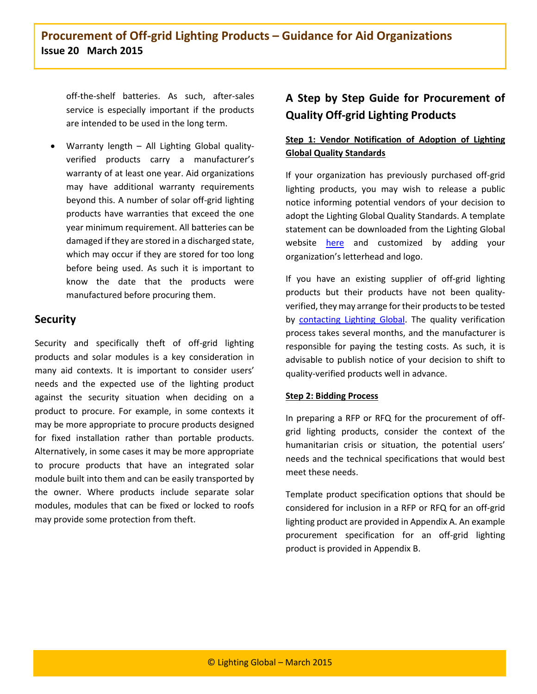off-the-shelf batteries. As such, after-sales service is especially important if the products are intended to be used in the long term.

 Warranty length – All Lighting Global qualityverified products carry a manufacturer's warranty of at least one year. Aid organizations may have additional warranty requirements beyond this. A number of solar off-grid lighting products have warranties that exceed the one year minimum requirement. All batteries can be damaged if they are stored in a discharged state, which may occur if they are stored for too long before being used. As such it is important to know the date that the products were manufactured before procuring them.

## **Security**

Security and specifically theft of off-grid lighting products and solar modules is a key consideration in many aid contexts. It is important to consider users' needs and the expected use of the lighting product against the security situation when deciding on a product to procure. For example, in some contexts it may be more appropriate to procure products designed for fixed installation rather than portable products. Alternatively, in some cases it may be more appropriate to procure products that have an integrated solar module built into them and can be easily transported by the owner. Where products include separate solar modules, modules that can be fixed or locked to roofs may provide some protection from theft.

## **A Step by Step Guide for Procurement of Quality Off-grid Lighting Products**

## **Step 1: Vendor Notification of Adoption of Lighting Global Quality Standards**

If your organization has previously purchased off-grid lighting products, you may wish to release a public notice informing potential vendors of your decision to adopt the Lighting Global Quality Standards. A template statement can be downloaded from the Lighting Global website [here](https://www.lightingglobal.org/wp-content/uploads/2015/01/Lighting-Global-Buyer-Adoption-of-Quality-Standard_Template.doc) and customized by adding your organization's letterhead and logo.

If you have an existing supplier of off-grid lighting products but their products have not been qualityverified, they may arrange for their products to be tested by [contacting Lighting Global.](http://www.lightingglobal.org/product-testing-step-by-step/) The quality verification process takes several months, and the manufacturer is responsible for paying the testing costs. As such, it is advisable to publish notice of your decision to shift to quality-verified products well in advance.

#### **Step 2: Bidding Process**

In preparing a RFP or RFQ for the procurement of offgrid lighting products, consider the context of the humanitarian crisis or situation, the potential users' needs and the technical specifications that would best meet these needs.

Template product specification options that should be considered for inclusion in a RFP or RFQ for an off-grid lighting product are provided in Appendix A. An example procurement specification for an off-grid lighting product is provided in Appendix B.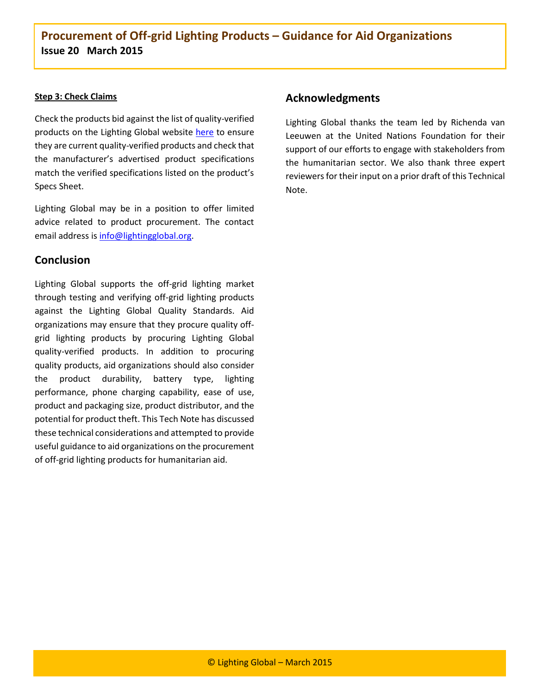#### **Step 3: Check Claims**

Check the products bid against the list of quality-verified products on the Lighting Global website [here](https://www.lightingglobal.org/products/) to ensure they are current quality-verified products and check that the manufacturer's advertised product specifications match the verified specifications listed on the product's Specs Sheet.

Lighting Global may be in a position to offer limited advice related to product procurement. The contact email address is [info@lightingglobal.org.](mailto:info@lightingglobal.org)

### **Conclusion**

Lighting Global supports the off-grid lighting market through testing and verifying off-grid lighting products against the Lighting Global Quality Standards. Aid organizations may ensure that they procure quality offgrid lighting products by procuring Lighting Global quality-verified products. In addition to procuring quality products, aid organizations should also consider the product durability, battery type, lighting performance, phone charging capability, ease of use, product and packaging size, product distributor, and the potential for product theft. This Tech Note has discussed these technical considerations and attempted to provide useful guidance to aid organizations on the procurement of off-grid lighting products for humanitarian aid.

### **Acknowledgments**

Lighting Global thanks the team led by Richenda van Leeuwen at the United Nations Foundation for their support of our efforts to engage with stakeholders from the humanitarian sector. We also thank three expert reviewers for their input on a prior draft of this Technical Note.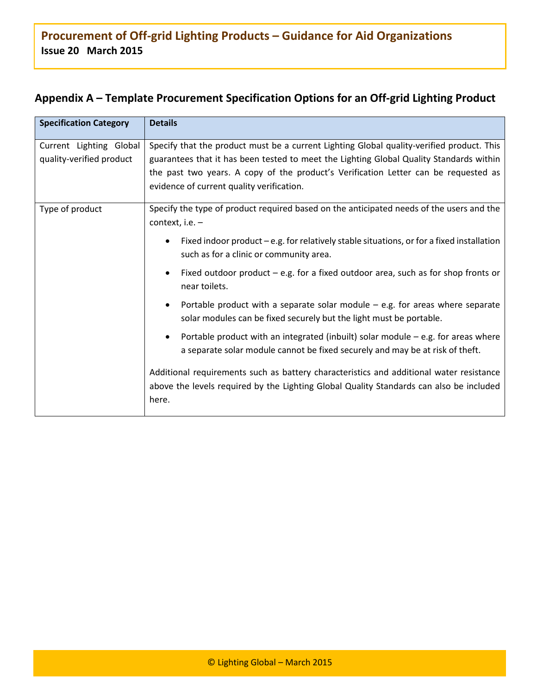## **Appendix A – Template Procurement Specification Options for an Off-grid Lighting Product**

| <b>Specification Category</b>                       | <b>Details</b>                                                                                                                                                                                                                                                                                                           |  |
|-----------------------------------------------------|--------------------------------------------------------------------------------------------------------------------------------------------------------------------------------------------------------------------------------------------------------------------------------------------------------------------------|--|
| Current Lighting Global<br>quality-verified product | Specify that the product must be a current Lighting Global quality-verified product. This<br>guarantees that it has been tested to meet the Lighting Global Quality Standards within<br>the past two years. A copy of the product's Verification Letter can be requested as<br>evidence of current quality verification. |  |
| Type of product                                     | Specify the type of product required based on the anticipated needs of the users and the<br>context, i.e. $-$                                                                                                                                                                                                            |  |
|                                                     | Fixed indoor product $-e.g.$ for relatively stable situations, or for a fixed installation<br>such as for a clinic or community area.                                                                                                                                                                                    |  |
|                                                     | Fixed outdoor product $-$ e.g. for a fixed outdoor area, such as for shop fronts or<br>near toilets.                                                                                                                                                                                                                     |  |
|                                                     | Portable product with a separate solar module $-$ e.g. for areas where separate<br>solar modules can be fixed securely but the light must be portable.                                                                                                                                                                   |  |
|                                                     | Portable product with an integrated (inbuilt) solar module $-$ e.g. for areas where<br>a separate solar module cannot be fixed securely and may be at risk of theft.                                                                                                                                                     |  |
|                                                     | Additional requirements such as battery characteristics and additional water resistance<br>above the levels required by the Lighting Global Quality Standards can also be included<br>here.                                                                                                                              |  |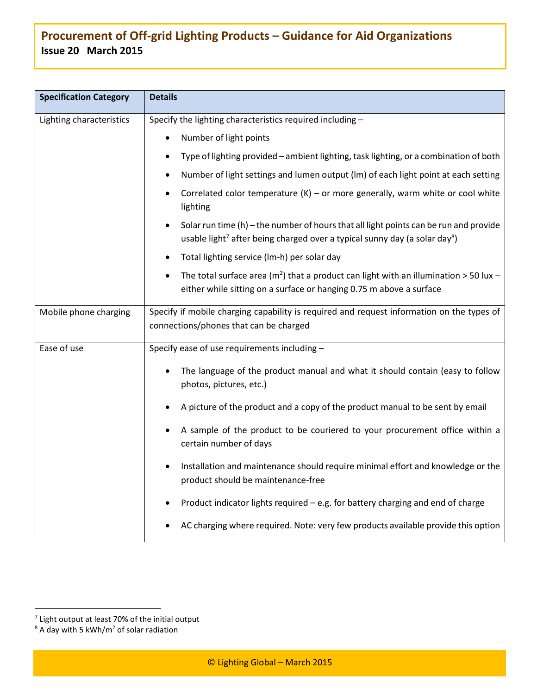| <b>Specification Category</b> | <b>Details</b>                                                                                                                                                                                |
|-------------------------------|-----------------------------------------------------------------------------------------------------------------------------------------------------------------------------------------------|
| Lighting characteristics      | Specify the lighting characteristics required including -                                                                                                                                     |
|                               | Number of light points                                                                                                                                                                        |
|                               | Type of lighting provided - ambient lighting, task lighting, or a combination of both                                                                                                         |
|                               | Number of light settings and lumen output (lm) of each light point at each setting                                                                                                            |
|                               | Correlated color temperature $(K)$ – or more generally, warm white or cool white<br>lighting                                                                                                  |
|                               | Solar run time $(h)$ – the number of hours that all light points can be run and provide<br>usable light <sup>7</sup> after being charged over a typical sunny day (a solar day <sup>8</sup> ) |
|                               | Total lighting service (Im-h) per solar day                                                                                                                                                   |
|                               | The total surface area ( $m2$ ) that a product can light with an illumination > 50 lux -<br>either while sitting on a surface or hanging 0.75 m above a surface                               |
| Mobile phone charging         | Specify if mobile charging capability is required and request information on the types of<br>connections/phones that can be charged                                                           |
| Ease of use                   | Specify ease of use requirements including -                                                                                                                                                  |
|                               | The language of the product manual and what it should contain (easy to follow<br>٠<br>photos, pictures, etc.)                                                                                 |
|                               | A picture of the product and a copy of the product manual to be sent by email                                                                                                                 |
|                               | A sample of the product to be couriered to your procurement office within a<br>certain number of days                                                                                         |
|                               | Installation and maintenance should require minimal effort and knowledge or the<br>product should be maintenance-free                                                                         |
|                               | Product indicator lights required - e.g. for battery charging and end of charge                                                                                                               |
|                               | AC charging where required. Note: very few products available provide this option                                                                                                             |

 7 Light output at least 70% of the initial output

 $8$  A day with 5 kWh/m<sup>2</sup> of solar radiation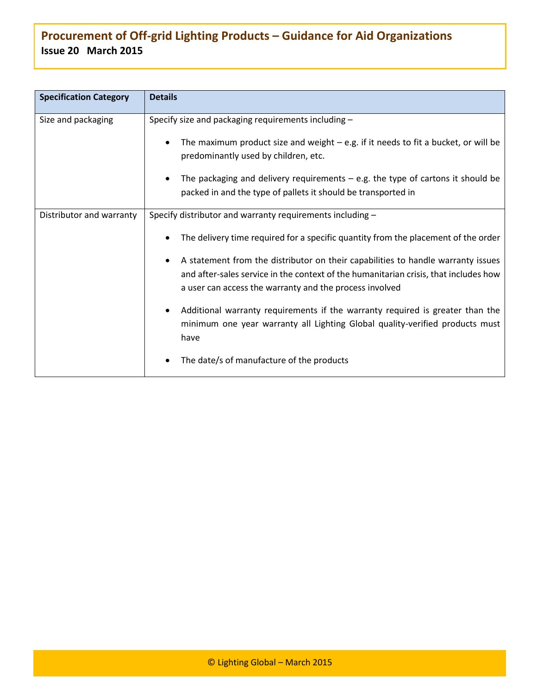| <b>Specification Category</b> | <b>Details</b>                                                                                                                                                        |  |
|-------------------------------|-----------------------------------------------------------------------------------------------------------------------------------------------------------------------|--|
| Size and packaging            | Specify size and packaging requirements including -                                                                                                                   |  |
|                               | The maximum product size and weight $-$ e.g. if it needs to fit a bucket, or will be<br>predominantly used by children, etc.                                          |  |
|                               | The packaging and delivery requirements $-$ e.g. the type of cartons it should be                                                                                     |  |
|                               | packed in and the type of pallets it should be transported in                                                                                                         |  |
| Distributor and warranty      | Specify distributor and warranty requirements including -                                                                                                             |  |
|                               | The delivery time required for a specific quantity from the placement of the order                                                                                    |  |
|                               | A statement from the distributor on their capabilities to handle warranty issues                                                                                      |  |
|                               | and after-sales service in the context of the humanitarian crisis, that includes how<br>a user can access the warranty and the process involved                       |  |
|                               | Additional warranty requirements if the warranty required is greater than the<br>minimum one year warranty all Lighting Global quality-verified products must<br>have |  |
|                               | The date/s of manufacture of the products                                                                                                                             |  |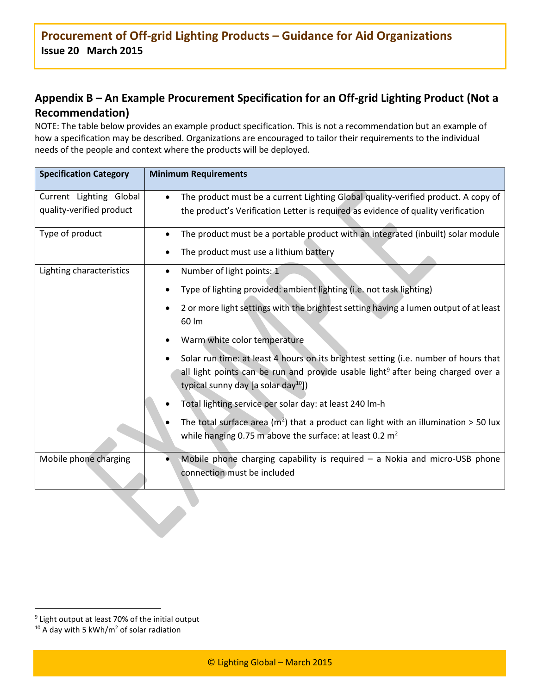## **Appendix B – An Example Procurement Specification for an Off-grid Lighting Product (Not a Recommendation)**

NOTE: The table below provides an example product specification. This is not a recommendation but an example of how a specification may be described. Organizations are encouraged to tailor their requirements to the individual needs of the people and context where the products will be deployed.

| <b>Specification Category</b> | <b>Minimum Requirements</b>                                                                                                                                                                                                             |
|-------------------------------|-----------------------------------------------------------------------------------------------------------------------------------------------------------------------------------------------------------------------------------------|
| Current Lighting Global       | The product must be a current Lighting Global quality-verified product. A copy of                                                                                                                                                       |
| quality-verified product      | the product's Verification Letter is required as evidence of quality verification                                                                                                                                                       |
| Type of product               | The product must be a portable product with an integrated (inbuilt) solar module                                                                                                                                                        |
|                               | The product must use a lithium battery                                                                                                                                                                                                  |
| Lighting characteristics      | Number of light points: 1                                                                                                                                                                                                               |
|                               | Type of lighting provided: ambient lighting (i.e. not task lighting)                                                                                                                                                                    |
|                               | 2 or more light settings with the brightest setting having a lumen output of at least<br>60 lm                                                                                                                                          |
|                               | Warm white color temperature                                                                                                                                                                                                            |
|                               | Solar run time: at least 4 hours on its brightest setting (i.e. number of hours that<br>all light points can be run and provide usable light <sup>9</sup> after being charged over a<br>typical sunny day [a solar day <sup>10</sup> ]) |
|                               | Total lighting service per solar day: at least 240 lm-h                                                                                                                                                                                 |
|                               | The total surface area ( $m2$ ) that a product can light with an illumination > 50 lux<br>while hanging 0.75 m above the surface: at least 0.2 m <sup>2</sup>                                                                           |
| Mobile phone charging         | Mobile phone charging capability is required $-$ a Nokia and micro-USB phone<br>connection must be included                                                                                                                             |

 $\ddot{\phantom{a}}$ 

<sup>9</sup> Light output at least 70% of the initial output

 $10$  A day with 5 kWh/m<sup>2</sup> of solar radiation